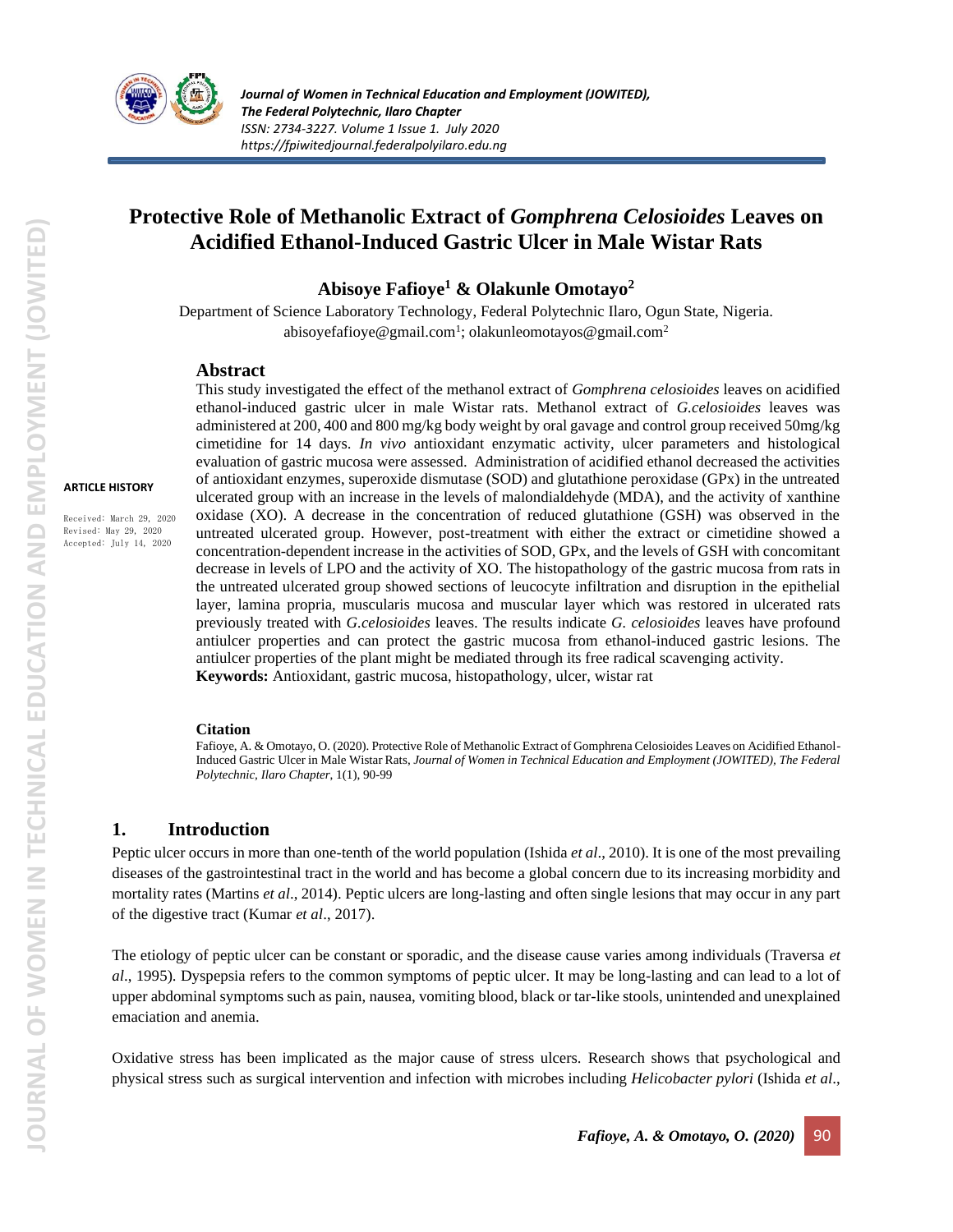

# **Protective Role of Methanolic Extract of** *Gomphrena Celosioides* **Leaves on Acidified Ethanol-Induced Gastric Ulcer in Male Wistar Rats**

### **Abisoye Fafioye<sup>1</sup> & Olakunle Omotayo<sup>2</sup>**

Department of Science Laboratory Technology, Federal Polytechnic Ilaro, Ogun State, Nigeria. abisoyefafioye@gmail.com<sup>1</sup>; olakunleomotayos@gmail.com<sup>2</sup>

#### **Abstract**

**ARTICLE HISTORY**

Received: March 29, 2020 Revised: May 29, 2020 Accepted: July 14, 2020

This study investigated the effect of the methanol extract of *Gomphrena celosioides* leaves on acidified ethanol-induced gastric ulcer in male Wistar rats. Methanol extract of *G.celosioides* leaves was administered at 200, 400 and 800 mg/kg body weight by oral gavage and control group received 50mg/kg cimetidine for 14 days. *In vivo* antioxidant enzymatic activity, ulcer parameters and histological evaluation of gastric mucosa were assessed. Administration of acidified ethanol decreased the activities of antioxidant enzymes, superoxide dismutase (SOD) and glutathione peroxidase (GPx) in the untreated ulcerated group with an increase in the levels of malondialdehyde (MDA), and the activity of xanthine oxidase (XO). A decrease in the concentration of reduced glutathione (GSH) was observed in the untreated ulcerated group. However, post-treatment with either the extract or cimetidine showed a concentration-dependent increase in the activities of SOD, GPx, and the levels of GSH with concomitant decrease in levels of LPO and the activity of XO. The histopathology of the gastric mucosa from rats in the untreated ulcerated group showed sections of leucocyte infiltration and disruption in the epithelial layer, lamina propria, muscularis mucosa and muscular layer which was restored in ulcerated rats previously treated with *G.celosioides* leaves. The results indicate *G. celosioides* leaves have profound antiulcer properties and can protect the gastric mucosa from ethanol-induced gastric lesions. The antiulcer properties of the plant might be mediated through its free radical scavenging activity. **Keywords:** Antioxidant, gastric mucosa, histopathology, ulcer, wistar rat

#### **Citation**

Fafioye, A. & Omotayo, O. (2020). Protective Role of Methanolic Extract of Gomphrena Celosioides Leaves on Acidified Ethanol-Induced Gastric Ulcer in Male Wistar Rats, *Journal of Women in Technical Education and Employment (JOWITED), The Federal Polytechnic, Ilaro Chapter*, 1(1), 90-99

# **1. Introduction**

Peptic ulcer occurs in more than one-tenth of the world population (Ishida *et al*., 2010). It is one of the most prevailing diseases of the gastrointestinal tract in the world and has become a global concern due to its increasing morbidity and mortality rates (Martins *et al*., 2014). Peptic ulcers are long-lasting and often single lesions that may occur in any part of the digestive tract (Kumar *et al*., 2017).

The etiology of peptic ulcer can be constant or sporadic, and the disease cause varies among individuals (Traversa *et al*., 1995). Dyspepsia refers to the common symptoms of peptic ulcer. It may be long-lasting and can lead to a lot of upper abdominal symptoms such as pain, nausea, vomiting blood, black or tar-like stools, unintended and unexplained emaciation and anemia.

Oxidative stress has been implicated as the major cause of stress ulcers. Research shows that psychological and physical stress such as surgical intervention and infection with microbes including *Helicobacter pylori* (Ishida *et al*.,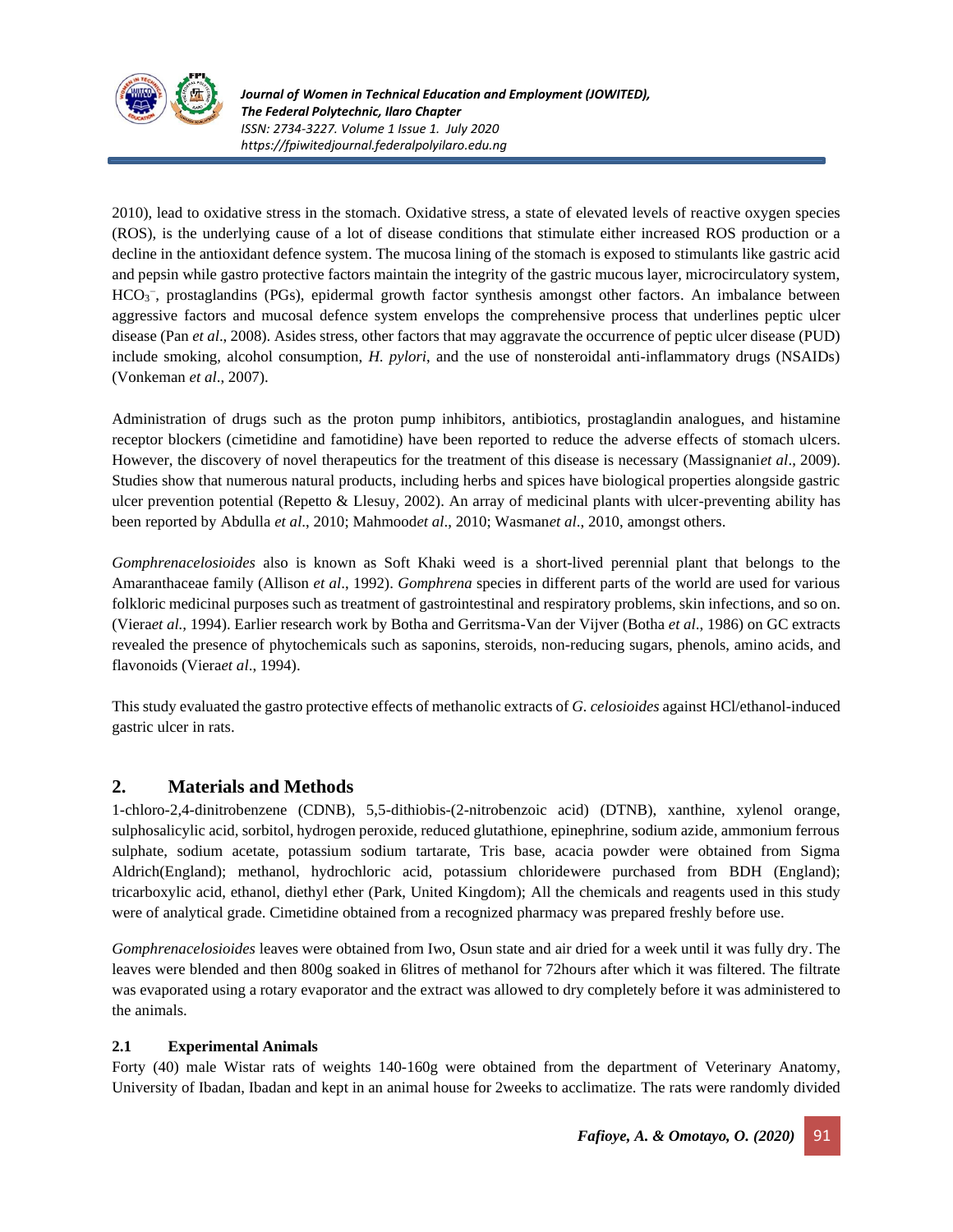

2010), lead to oxidative stress in the stomach. Oxidative stress, a state of elevated levels of reactive oxygen species (ROS), is the underlying cause of a lot of disease conditions that stimulate either increased ROS production or a decline in the antioxidant defence system. The mucosa lining of the stomach is exposed to stimulants like gastric acid and pepsin while gastro protective factors maintain the integrity of the gastric mucous layer, microcirculatory system, HCO<sub>3</sub><sup>-</sup>, prostaglandins (PGs), epidermal growth factor synthesis amongst other factors. An imbalance between aggressive factors and mucosal defence system envelops the comprehensive process that underlines peptic ulcer disease (Pan *et al*., 2008). Asides stress, other factors that may aggravate the occurrence of peptic ulcer disease (PUD) include smoking, alcohol consumption, *H. pylori*, and the use of nonsteroidal anti-inflammatory drugs (NSAIDs) (Vonkeman *et al*., 2007).

Administration of drugs such as the proton pump inhibitors, antibiotics, prostaglandin analogues, and histamine receptor blockers (cimetidine and famotidine) have been reported to reduce the adverse effects of stomach ulcers. However, the discovery of novel therapeutics for the treatment of this disease is necessary (Massignani*et al*., 2009). Studies show that numerous natural products, including herbs and spices have biological properties alongside gastric ulcer prevention potential (Repetto & Llesuy, 2002). An array of medicinal plants with ulcer-preventing ability has been reported by Abdulla *et al*., 2010; Mahmood*et al*., 2010; Wasman*et al*., 2010, amongst others.

*Gomphrenacelosioides* also is known as Soft Khaki weed is a short-lived perennial plant that belongs to the Amaranthaceae family (Allison *et al*., 1992). *Gomphrena* species in different parts of the world are used for various folkloric medicinal purposes such as treatment of gastrointestinal and respiratory problems, skin infections, and so on. (Viera*et al.,* 1994). Earlier research work by Botha and Gerritsma-Van der Vijver (Botha *et al*., 1986) on GC extracts revealed the presence of phytochemicals such as saponins, steroids, non-reducing sugars, phenols, amino acids, and flavonoids (Viera*et al*., 1994).

This study evaluated the gastro protective effects of methanolic extracts of *G. celosioides* against HCl/ethanol-induced gastric ulcer in rats.

# **2. Materials and Methods**

1-chloro-2,4-dinitrobenzene (CDNB), 5,5-dithiobis-(2-nitrobenzoic acid) (DTNB), xanthine, xylenol orange, sulphosalicylic acid, sorbitol, hydrogen peroxide, reduced glutathione, epinephrine, sodium azide, ammonium ferrous sulphate, sodium acetate, potassium sodium tartarate, Tris base, acacia powder were obtained from Sigma Aldrich(England); methanol, hydrochloric acid, potassium chloridewere purchased from BDH (England); tricarboxylic acid, ethanol, diethyl ether (Park, United Kingdom); All the chemicals and reagents used in this study were of analytical grade. Cimetidine obtained from a recognized pharmacy was prepared freshly before use.

*Gomphrenacelosioides* leaves were obtained from Iwo, Osun state and air dried for a week until it was fully dry. The leaves were blended and then 800g soaked in 6litres of methanol for 72hours after which it was filtered. The filtrate was evaporated using a rotary evaporator and the extract was allowed to dry completely before it was administered to the animals.

### **2.1 Experimental Animals**

Forty (40) male Wistar rats of weights 140-160g were obtained from the department of Veterinary Anatomy, University of Ibadan, Ibadan and kept in an animal house for 2weeks to acclimatize. The rats were randomly divided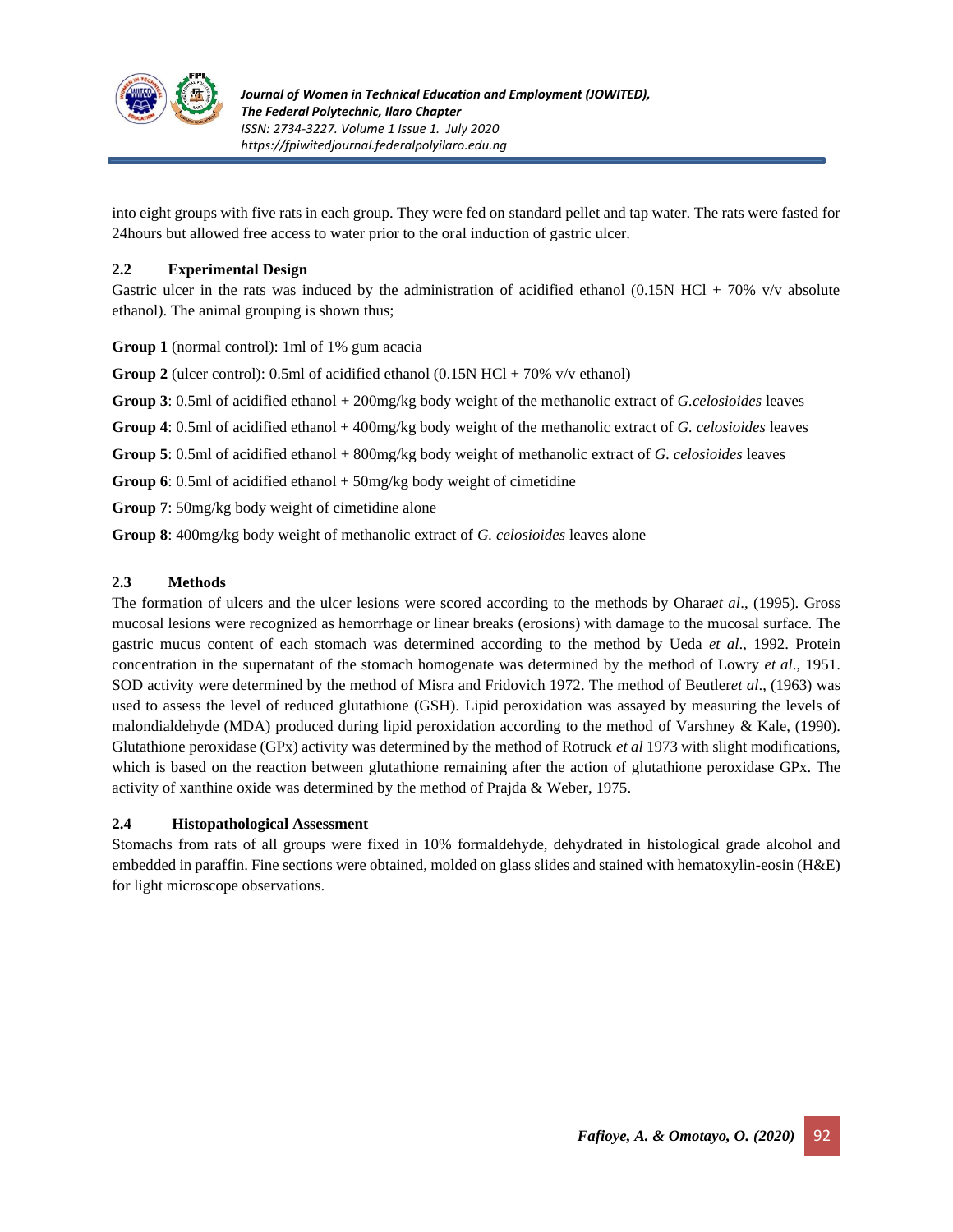

into eight groups with five rats in each group. They were fed on standard pellet and tap water. The rats were fasted for 24hours but allowed free access to water prior to the oral induction of gastric ulcer.

#### **2.2 Experimental Design**

Gastric ulcer in the rats was induced by the administration of acidified ethanol (0.15N HCl + 70% v/v absolute ethanol). The animal grouping is shown thus;

**Group 1** (normal control): 1ml of 1% gum acacia

**Group 2** (ulcer control): 0.5ml of acidified ethanol (0.15N HCl + 70% v/v ethanol)

**Group 3**: 0.5ml of acidified ethanol + 200mg/kg body weight of the methanolic extract of *G.celosioides* leaves

**Group 4**: 0.5ml of acidified ethanol + 400mg/kg body weight of the methanolic extract of *G. celosioides* leaves

**Group 5**: 0.5ml of acidified ethanol + 800mg/kg body weight of methanolic extract of *G. celosioides* leaves

**Group 6**: 0.5ml of acidified ethanol + 50mg/kg body weight of cimetidine

**Group 7**: 50mg/kg body weight of cimetidine alone

**Group 8**: 400mg/kg body weight of methanolic extract of *G. celosioides* leaves alone

### **2.3 Methods**

The formation of ulcers and the ulcer lesions were scored according to the methods by Ohara*et al*., (1995). Gross mucosal lesions were recognized as hemorrhage or linear breaks (erosions) with damage to the mucosal surface. The gastric mucus content of each stomach was determined according to the method by Ueda *et al*., 1992. Protein concentration in the supernatant of the stomach homogenate was determined by the method of Lowry *et al*., 1951. SOD activity were determined by the method of Misra and Fridovich 1972. The method of Beutler*et al*., (1963) was used to assess the level of reduced glutathione (GSH). Lipid peroxidation was assayed by measuring the levels of malondialdehyde (MDA) produced during lipid peroxidation according to the method of Varshney & Kale, (1990). Glutathione peroxidase (GPx) activity was determined by the method of Rotruck *et al* 1973 with slight modifications, which is based on the reaction between glutathione remaining after the action of glutathione peroxidase GPx. The activity of xanthine oxide was determined by the method of Prajda & Weber, 1975.

#### **2.4 Histopathological Assessment**

Stomachs from rats of all groups were fixed in 10% formaldehyde, dehydrated in histological grade alcohol and embedded in paraffin. Fine sections were obtained, molded on glass slides and stained with hematoxylin-eosin (H&E) for light microscope observations.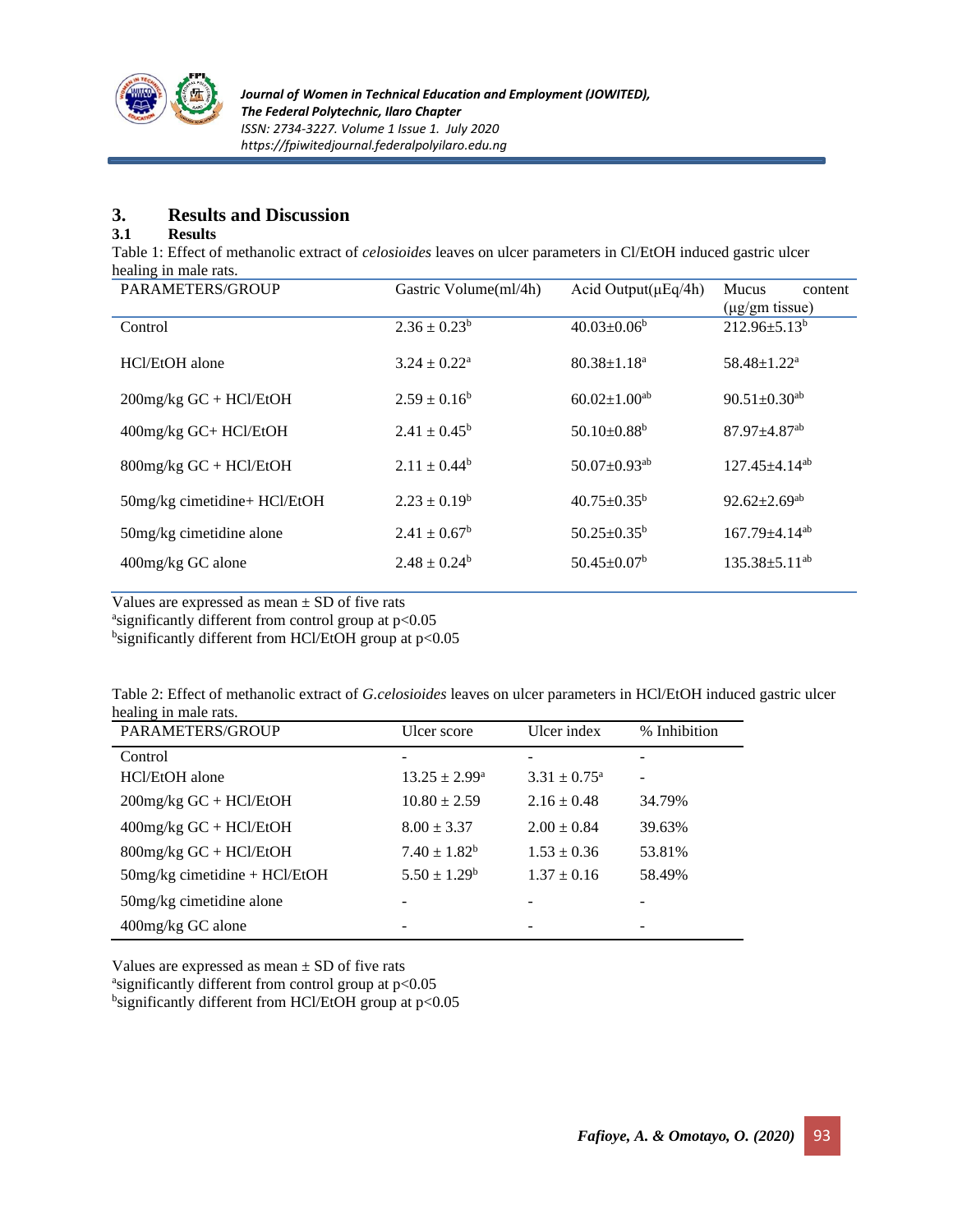

## **3. Results and Discussion**

#### **3.1 Results**

Table 1: Effect of methanolic extract of *celosioides* leaves on ulcer parameters in Cl/EtOH induced gastric ulcer healing in male rats.

| PARAMETERS/GROUP             | Gastric Volume(ml/4h)      | Acid Output( $\mu$ Eq/4h)      | Mucus<br>content               |
|------------------------------|----------------------------|--------------------------------|--------------------------------|
|                              |                            |                                | $(\mu g/gm$ tissue)            |
| Control                      | $2.36 \pm 0.23^b$          | $40.03 \pm 0.06^b$             | $212.96 \pm 5.13^b$            |
| HCl/EtOH alone               | $3.24 \pm 0.22^{\text{a}}$ | $80.38 \pm 1.18^a$             | 58.48±1.22 <sup>a</sup>        |
| $200$ mg/kg GC + HCl/EtOH    | $2.59 \pm 0.16^b$          | $60.02 \pm 1.00$ <sup>ab</sup> | $90.51 \pm 0.30$ <sup>ab</sup> |
| 400mg/kg GC+ HCl/EtOH        | $2.41 \pm 0.45^{\rm b}$    | $50.10 \pm 0.88$ <sup>b</sup>  | 87.97±4.87 <sup>ab</sup>       |
| $800$ mg/kg GC + HCl/EtOH    | $2.11 \pm 0.44^b$          | $50.07 \pm 0.93$ <sup>ab</sup> | 127.45±4.14 <sup>ab</sup>      |
| 50mg/kg cimetidine+ HCl/EtOH | $2.23 + 0.19^b$            | $40.75 \pm 0.35^{\rm b}$       | $92.62 \pm 2.69$ <sup>ab</sup> |
| 50 mg/kg cimetidine alone    | $2.41 \pm 0.67^{\rm b}$    | $50.25 \pm 0.35^{\rm b}$       | 167.79±4.14 <sup>ab</sup>      |
| 400mg/kg GC alone            | $2.48 \pm 0.24^b$          | $50.45 \pm 0.07^b$             | $135.38 \pm 5.11^{ab}$         |

Values are expressed as mean  $\pm$  SD of five rats

asignificantly different from control group at p<0.05

bsignificantly different from HCl/EtOH group at p<0.05

Table 2: Effect of methanolic extract of *G.celosioides* leaves on ulcer parameters in HCl/EtOH induced gastric ulcer healing in male rats.

| PARAMETERS/GROUP                | Ulcer score              | Ulcer index             | % Inhibition |
|---------------------------------|--------------------------|-------------------------|--------------|
| Control                         |                          |                         |              |
| HCl/EtOH alone                  | $13.25 \pm 2.99^{\rm a}$ | $3.31 \pm 0.75^{\circ}$ |              |
| $200$ mg/kg GC + HCl/EtOH       | $10.80 \pm 2.59$         | $2.16 \pm 0.48$         | 34.79%       |
| $400$ mg/kg GC + HCl/EtOH       | $8.00 \pm 3.37$          | $2.00 \pm 0.84$         | 39.63%       |
| $800$ mg/kg GC + HCl/EtOH       | $7.40 \pm 1.82^b$        | $1.53 \pm 0.36$         | 53.81%       |
| $50mg/kg$ cimetidine + HCl/EtOH | $5.50 \pm 1.29^b$        | $1.37 \pm 0.16$         | 58.49%       |
| 50 mg/kg cimetidine alone       |                          |                         |              |
| 400mg/kg GC alone               |                          |                         |              |

Values are expressed as mean  $\pm$  SD of five rats asignificantly different from control group at p<0.05 bsignificantly different from HCl/EtOH group at p<0.05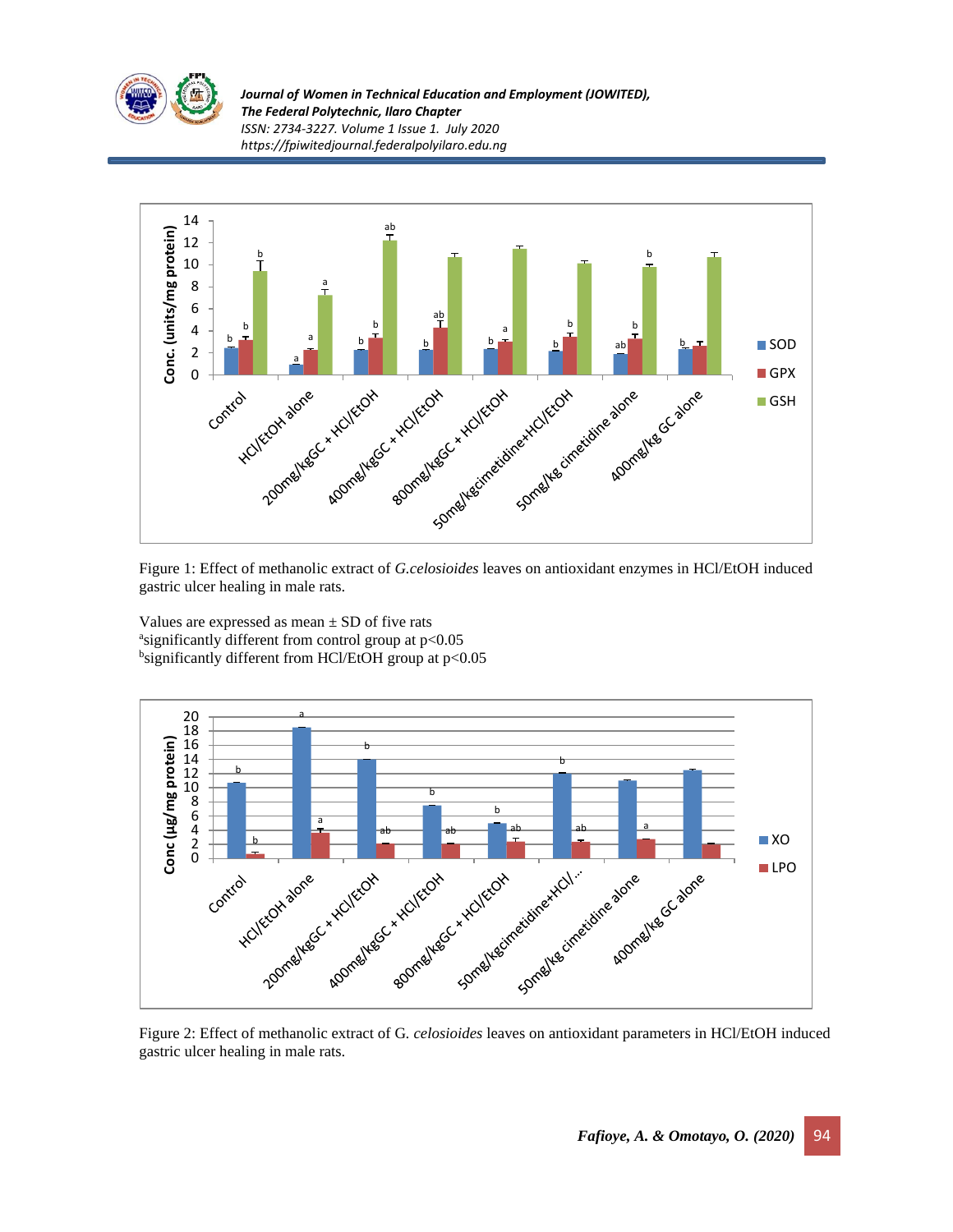

*Journal of Women in Technical Education and Employment (JOWITED), The Federal Polytechnic, Ilaro Chapter ISSN: 2734-3227. Volume 1 Issue 1. July 2020 https://fpiwitedjournal.federalpolyilaro.edu.ng*



Figure 1: Effect of methanolic extract of *G.celosioides* leaves on antioxidant enzymes in HCl/EtOH induced gastric ulcer healing in male rats.

Values are expressed as mean  $\pm$  SD of five rats asignificantly different from control group at p<0.05 bsignificantly different from HCl/EtOH group at p<0.05



Figure 2: Effect of methanolic extract of G*. celosioides* leaves on antioxidant parameters in HCl/EtOH induced gastric ulcer healing in male rats.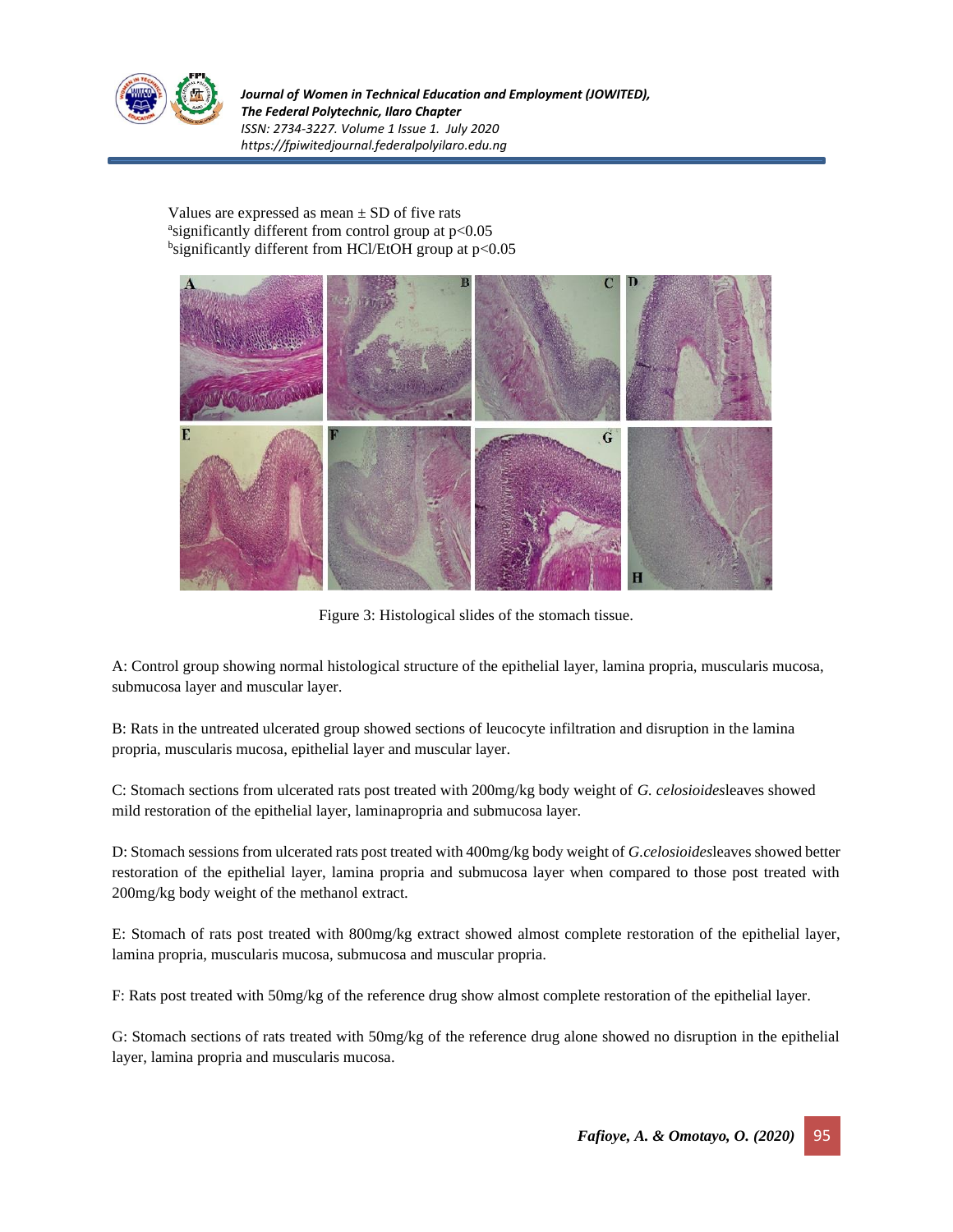

*Journal of Women in Technical Education and Employment (JOWITED), The Federal Polytechnic, Ilaro Chapter ISSN: 2734-3227. Volume 1 Issue 1. July 2020 https://fpiwitedjournal.federalpolyilaro.edu.ng*

Values are expressed as mean  $\pm$  SD of five rats asignificantly different from control group at p<0.05 bsignificantly different from HCl/EtOH group at p<0.05



Figure 3: Histological slides of the stomach tissue.

A: Control group showing normal histological structure of the epithelial layer, lamina propria, muscularis mucosa, submucosa layer and muscular layer.

B: Rats in the untreated ulcerated group showed sections of leucocyte infiltration and disruption in the lamina propria, muscularis mucosa, epithelial layer and muscular layer.

C: Stomach sections from ulcerated rats post treated with 200mg/kg body weight of *G. celosioides*leaves showed mild restoration of the epithelial layer, laminapropria and submucosa layer.

D: Stomach sessions from ulcerated rats post treated with 400mg/kg body weight of *G.celosioides*leaves showed better restoration of the epithelial layer, lamina propria and submucosa layer when compared to those post treated with 200mg/kg body weight of the methanol extract.

E: Stomach of rats post treated with 800mg/kg extract showed almost complete restoration of the epithelial layer, lamina propria, muscularis mucosa, submucosa and muscular propria.

F: Rats post treated with 50mg/kg of the reference drug show almost complete restoration of the epithelial layer.

G: Stomach sections of rats treated with 50mg/kg of the reference drug alone showed no disruption in the epithelial layer, lamina propria and muscularis mucosa.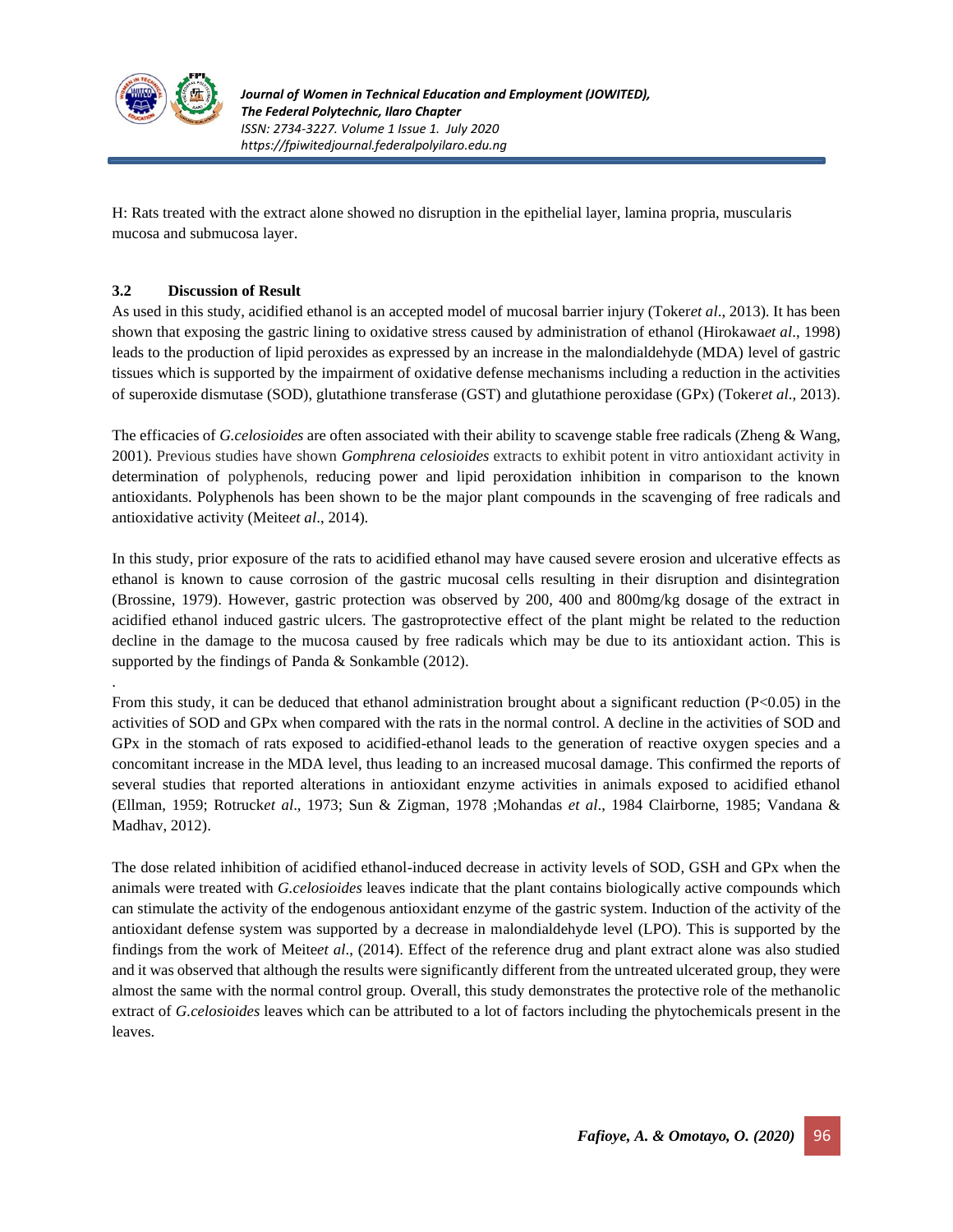

.

H: Rats treated with the extract alone showed no disruption in the epithelial layer, lamina propria, muscularis mucosa and submucosa layer.

#### **3.2 Discussion of Result**

As used in this study, acidified ethanol is an accepted model of mucosal barrier injury (Toker*et al*., 2013). It has been shown that exposing the gastric lining to oxidative stress caused by administration of ethanol (Hirokawa*et al*., 1998) leads to the production of lipid peroxides as expressed by an increase in the malondialdehyde (MDA) level of gastric tissues which is supported by the impairment of oxidative defense mechanisms including a reduction in the activities of superoxide dismutase (SOD), glutathione transferase (GST) and glutathione peroxidase (GPx) (Toker*et al*., 2013).

The efficacies of *G.celosioides* are often associated with their ability to scavenge stable free radicals (Zheng & Wang, 2001). Previous studies have shown *Gomphrena celosioides* extracts to exhibit potent in vitro antioxidant activity in determination of polyphenols, reducing power and lipid peroxidation inhibition in comparison to the known antioxidants. Polyphenols has been shown to be the major plant compounds in the scavenging of free radicals and antioxidative activity (Meite*et al*., 2014).

In this study, prior exposure of the rats to acidified ethanol may have caused severe erosion and ulcerative effects as ethanol is known to cause corrosion of the gastric mucosal cells resulting in their disruption and disintegration (Brossine, 1979). However, gastric protection was observed by 200, 400 and 800mg/kg dosage of the extract in acidified ethanol induced gastric ulcers. The gastroprotective effect of the plant might be related to the reduction decline in the damage to the mucosa caused by free radicals which may be due to its antioxidant action. This is supported by the findings of Panda & Sonkamble (2012).

From this study, it can be deduced that ethanol administration brought about a significant reduction (P<0.05) in the activities of SOD and GPx when compared with the rats in the normal control. A decline in the activities of SOD and GPx in the stomach of rats exposed to acidified-ethanol leads to the generation of reactive oxygen species and a concomitant increase in the MDA level, thus leading to an increased mucosal damage. This confirmed the reports of several studies that reported alterations in antioxidant enzyme activities in animals exposed to acidified ethanol (Ellman, 1959; Rotruck*et al*., 1973; Sun & Zigman, 1978 ;Mohandas *et al*., 1984 Clairborne, 1985; Vandana & Madhav, 2012).

The dose related inhibition of acidified ethanol-induced decrease in activity levels of SOD, GSH and GPx when the animals were treated with *G.celosioides* leaves indicate that the plant contains biologically active compounds which can stimulate the activity of the endogenous antioxidant enzyme of the gastric system. Induction of the activity of the antioxidant defense system was supported by a decrease in malondialdehyde level (LPO). This is supported by the findings from the work of Meite*et al*., (2014). Effect of the reference drug and plant extract alone was also studied and it was observed that although the results were significantly different from the untreated ulcerated group, they were almost the same with the normal control group. Overall, this study demonstrates the protective role of the methanolic extract of *G.celosioides* leaves which can be attributed to a lot of factors including the phytochemicals present in the leaves.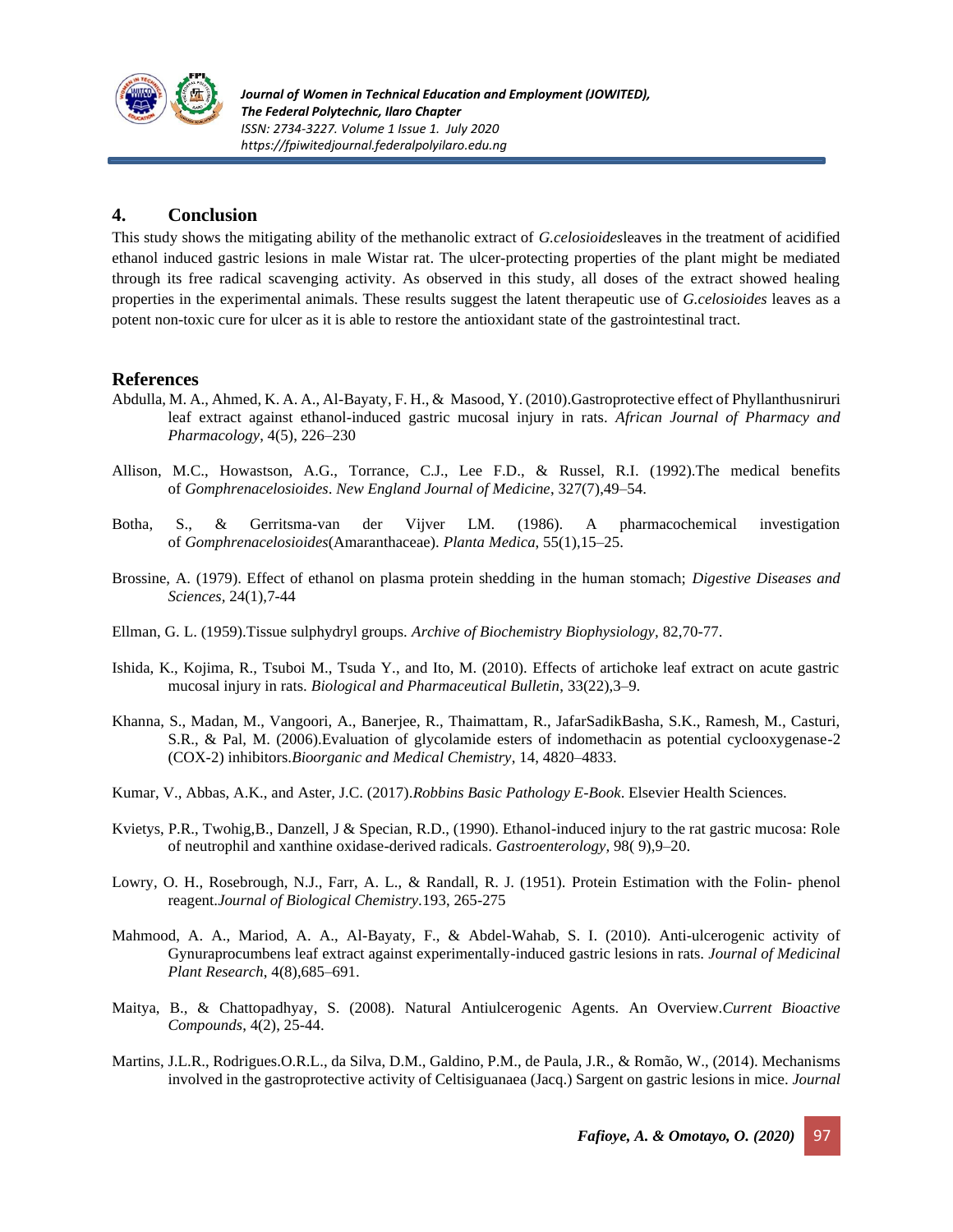

# **4. Conclusion**

This study shows the mitigating ability of the methanolic extract of *G.celosioides*leaves in the treatment of acidified ethanol induced gastric lesions in male Wistar rat. The ulcer-protecting properties of the plant might be mediated through its free radical scavenging activity. As observed in this study, all doses of the extract showed healing properties in the experimental animals. These results suggest the latent therapeutic use of *G.celosioides* leaves as a potent non-toxic cure for ulcer as it is able to restore the antioxidant state of the gastrointestinal tract.

### **References**

- Abdulla, M. A., Ahmed, K. A. A., Al-Bayaty, F. H., & Masood, Y. (2010).Gastroprotective effect of Phyllanthusniruri leaf extract against ethanol-induced gastric mucosal injury in rats. *African Journal of Pharmacy and Pharmacology*, 4(5), 226–230
- Allison, M.C., Howastson, A.G., Torrance, C.J., Lee F.D., & Russel, R.I. (1992).The medical benefits of *Gomphrenacelosioides*. *New England Journal of Medicine*, 327(7),49–54.
- Botha, S., & Gerritsma-van der Vijver LM. (1986). A pharmacochemical investigation of *Gomphrenacelosioides*(Amaranthaceae). *Planta Medica*, 55(1),15–25.
- Brossine, A. (1979). Effect of ethanol on plasma protein shedding in the human stomach; *Digestive Diseases and Sciences,* 24(1),7-44
- Ellman, G. L. (1959).Tissue sulphydryl groups. *Archive of Biochemistry Biophysiology,* 82,70-77.
- Ishida, K., Kojima, R., Tsuboi M., Tsuda Y., and Ito, M. (2010). Effects of artichoke leaf extract on acute gastric mucosal injury in rats. *Biological and Pharmaceutical Bulletin*, 33(22),3–9.
- Khanna, S., Madan, M., Vangoori, A., Banerjee, R., Thaimattam, R., JafarSadikBasha, S.K., Ramesh, M., Casturi, S.R., & Pal, M. (2006).Evaluation of glycolamide esters of indomethacin as potential cyclooxygenase-2 (COX-2) inhibitors.*Bioorganic and Medical Chemistry*, 14, 4820–4833.
- Kumar, V., Abbas, A.K., and Aster, J.C. (2017).*Robbins Basic Pathology E-Book*. Elsevier Health Sciences.
- Kvietys, P.R., Twohig,B., Danzell, J & Specian, R.D., (1990). Ethanol-induced injury to the rat gastric mucosa: Role of neutrophil and xanthine oxidase-derived radicals. *Gastroenterology,* 98( 9),9–20.
- Lowry, O. H., Rosebrough, N.J., Farr, A. L., & Randall, R. J. (1951). Protein Estimation with the Folin- phenol reagent.*Journal of Biological Chemistry.*193, 265-275
- Mahmood, A. A., Mariod, A. A., Al-Bayaty, F., & Abdel-Wahab, S. I. (2010). Anti-ulcerogenic activity of Gynuraprocumbens leaf extract against experimentally-induced gastric lesions in rats. *Journal of Medicinal Plant Research*, 4(8),685–691.
- Maitya, B., & Chattopadhyay, S. (2008). Natural Antiulcerogenic Agents. An Overview.*Current Bioactive Compounds*, 4(2), 25-44.
- Martins, J.L.R., Rodrigues.O.R.L., da Silva, D.M., Galdino, P.M., de Paula, J.R., & Romão, W., (2014). Mechanisms involved in the gastroprotective activity of Celtisiguanaea (Jacq.) Sargent on gastric lesions in mice. *Journal*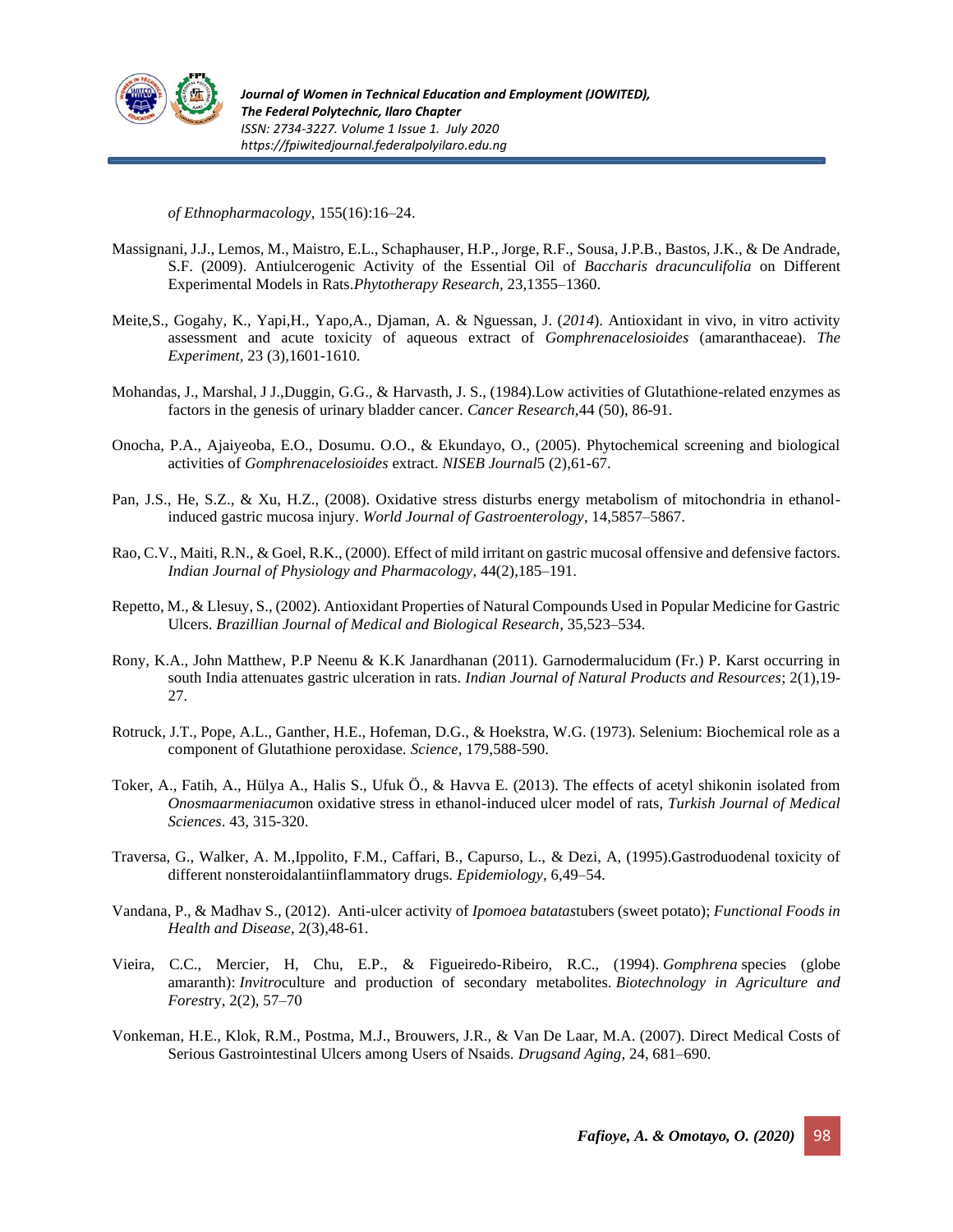

*of Ethnopharmacology,* 155(16):16–24.

- Massignani, J.J., Lemos, M., Maistro, E.L., Schaphauser, H.P., Jorge, R.F., Sousa, J.P.B., Bastos, J.K., & De Andrade, S.F. (2009). Antiulcerogenic Activity of the Essential Oil of *Baccharis dracunculifolia* on Different Experimental Models in Rats.*Phytotherapy Research,* 23,1355–1360.
- Meite,S., Gogahy, K., Yapi,H., Yapo,A., Djaman, A. & Nguessan, J. (*2014*). Antioxidant in vivo, in vitro activity assessment and acute toxicity of aqueous extract of *Gomphrenacelosioides* (amaranthaceae). *The Experiment,* 23 (3),1601-1610.
- Mohandas, J., Marshal, J J.,Duggin, G.G., & Harvasth, J. S., (1984).Low activities of Glutathione-related enzymes as factors in the genesis of urinary bladder cancer. *Cancer Research,*44 (50), 86-91.
- Onocha, P.A., Ajaiyeoba, E.O., Dosumu. O.O., & Ekundayo, O., (2005). Phytochemical screening and biological activities of *Gomphrenacelosioides* extract. *NISEB Journal*5 (2),61-67.
- Pan, J.S., He, S.Z., & Xu, H.Z., (2008). Oxidative stress disturbs energy metabolism of mitochondria in ethanolinduced gastric mucosa injury. *World Journal of Gastroenterology*, 14,5857–5867.
- Rao, C.V., Maiti, R.N., & Goel, R.K., (2000). Effect of mild irritant on gastric mucosal offensive and defensive factors. *Indian Journal of Physiology and Pharmacology*, 44(2),185–191.
- Repetto, M., & Llesuy, S., (2002). Antioxidant Properties of Natural Compounds Used in Popular Medicine for Gastric Ulcers. *Brazillian Journal of Medical and Biological Research,* 35,523–534.
- Rony, K.A., John Matthew, P.P Neenu & K.K Janardhanan (2011). Garnodermalucidum (Fr.) P. Karst occurring in south India attenuates gastric ulceration in rats. *Indian Journal of Natural Products and Resources*; 2(1),19- 27.
- Rotruck, J.T., Pope, A.L., Ganther, H.E., Hofeman, D.G., & Hoekstra, W.G. (1973). Selenium: Biochemical role as a component of Glutathione peroxidase. *Science,* 179,588-590.
- Toker, A., Fatih, A., Hülya A., Halis S., Ufuk Ö., & Havva E. (2013). The effects of acetyl shikonin isolated from *Onosmaarmeniacum*on oxidative stress in ethanol-induced ulcer model of rats, *Turkish Journal of Medical Sciences*. 43, 315-320.
- Traversa, G., Walker, A. M.,Ippolito, F.M., Caffari, B., Capurso, L., & Dezi, A, (1995).Gastroduodenal toxicity of different nonsteroidalantiinflammatory drugs. *Epidemiology*, 6,49–54.
- Vandana, P., & Madhav S., (2012). Anti-ulcer activity of *Ipomoea batatas*tubers (sweet potato); *Functional Foods in Health and Disease*, 2(3),48-61.
- Vieira, C.C., Mercier, H, Chu, E.P., & Figueiredo-Ribeiro, R.C., (1994). *Gomphrena* species (globe amaranth): *Invitro*culture and production of secondary metabolites. *Biotechnology in Agriculture and Forest*ry, 2(2), 57–70
- Vonkeman, H.E., Klok, R.M., Postma, M.J., Brouwers, J.R., & Van De Laar, M.A. (2007). Direct Medical Costs of Serious Gastrointestinal Ulcers among Users of Nsaids. *Drugsand Aging*, 24, 681–690.